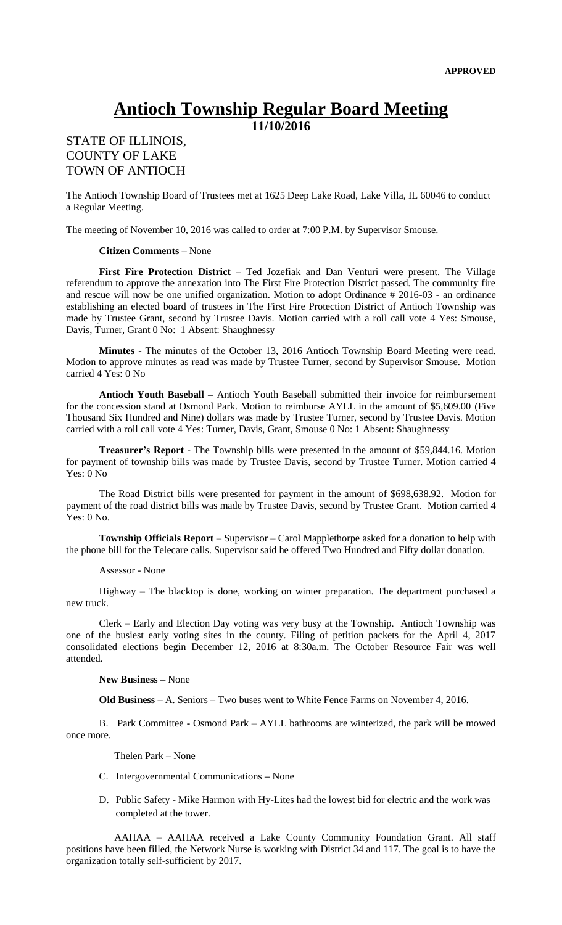## **Antioch Township Regular Board Meeting**

**11/10/2016**

## STATE OF ILLINOIS, COUNTY OF LAKE TOWN OF ANTIOCH

The Antioch Township Board of Trustees met at 1625 Deep Lake Road, Lake Villa, IL 60046 to conduct a Regular Meeting.

The meeting of November 10, 2016 was called to order at 7:00 P.M. by Supervisor Smouse.

## **Citizen Comments** – None

**First Fire Protection District –** Ted Jozefiak and Dan Venturi were present. The Village referendum to approve the annexation into The First Fire Protection District passed. The community fire and rescue will now be one unified organization. Motion to adopt Ordinance # 2016-03 - an ordinance establishing an elected board of trustees in The First Fire Protection District of Antioch Township was made by Trustee Grant, second by Trustee Davis. Motion carried with a roll call vote 4 Yes: Smouse, Davis, Turner, Grant 0 No: 1 Absent: Shaughnessy

**Minutes** - The minutes of the October 13, 2016 Antioch Township Board Meeting were read. Motion to approve minutes as read was made by Trustee Turner, second by Supervisor Smouse. Motion carried 4 Yes: 0 No

**Antioch Youth Baseball –** Antioch Youth Baseball submitted their invoice for reimbursement for the concession stand at Osmond Park. Motion to reimburse AYLL in the amount of \$5,609.00 (Five Thousand Six Hundred and Nine) dollars was made by Trustee Turner, second by Trustee Davis. Motion carried with a roll call vote 4 Yes: Turner, Davis, Grant, Smouse 0 No: 1 Absent: Shaughnessy

**Treasurer's Report** - The Township bills were presented in the amount of \$59,844.16. Motion for payment of township bills was made by Trustee Davis, second by Trustee Turner. Motion carried 4 Yes: 0 No

The Road District bills were presented for payment in the amount of \$698,638.92. Motion for payment of the road district bills was made by Trustee Davis, second by Trustee Grant. Motion carried 4 Yes: 0 No.

**Township Officials Report** – Supervisor – Carol Mapplethorpe asked for a donation to help with the phone bill for the Telecare calls. Supervisor said he offered Two Hundred and Fifty dollar donation.

## Assessor - None

Highway – The blacktop is done, working on winter preparation. The department purchased a new truck.

Clerk – Early and Election Day voting was very busy at the Township. Antioch Township was one of the busiest early voting sites in the county. Filing of petition packets for the April 4, 2017 consolidated elections begin December 12, 2016 at 8:30a.m. The October Resource Fair was well attended.

**New Business –** None

**Old Business –** A. Seniors – Two buses went to White Fence Farms on November 4, 2016.

B. Park Committee **-** Osmond Park – AYLL bathrooms are winterized, the park will be mowed once more.

Thelen Park – None

- C. Intergovernmental Communications **–** None
- D. Public Safety Mike Harmon with Hy-Lites had the lowest bid for electric and the work was completed at the tower.

 AAHAA – AAHAA received a Lake County Community Foundation Grant. All staff positions have been filled, the Network Nurse is working with District 34 and 117. The goal is to have the organization totally self-sufficient by 2017.